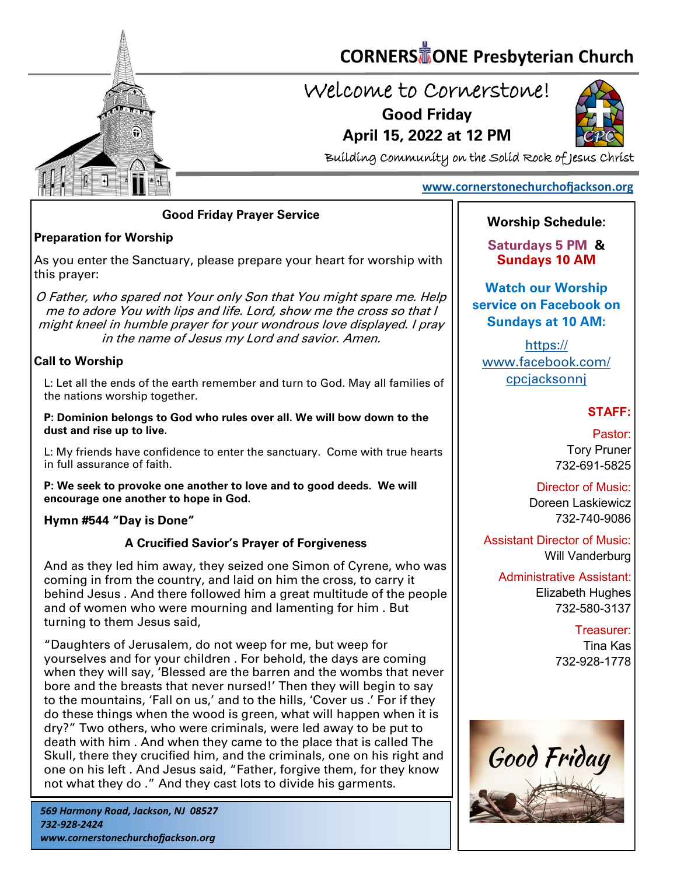

# **CORNERS** TONE Presbyterian Church

# Welcome to Cornerstone! **Good Friday**

**April 15, 2022 at 12 PM**



Building Community on the Solid Rock of Jesus Christ

# **[www.cornerstonechurchofjackson.org](http://www.cornerstonechurchofjackson.org)**

#### **Good Friday Prayer Service**

# **Preparation for Worship**

As you enter the Sanctuary, please prepare your heart for worship with this prayer:

O Father, who spared not Your only Son that You might spare me. Help me to adore You with lips and life. Lord, show me the cross so that I might kneel in humble prayer for your wondrous love displayed. I pray in the name of Jesus my Lord and savior. Amen.

#### **Call to Worship**

L: Let all the ends of the earth remember and turn to God. May all families of the nations worship together.

**P: Dominion belongs to God who rules over all. We will bow down to the dust and rise up to live.**

L: My friends have confidence to enter the sanctuary. Come with true hearts in full assurance of faith.

**P: We seek to provoke one another to love and to good deeds. We will encourage one another to hope in God.**

#### **Hymn #544 "Day is Done"**

# **A Crucified Savior's Prayer of Forgiveness**

And as they led him away, they seized one Simon of Cyrene, who was coming in from the country, and laid on him the cross, to carry it behind Jesus . And there followed him a great multitude of the people and of women who were mourning and lamenting for him . But turning to them Jesus said,

"Daughters of Jerusalem, do not weep for me, but weep for yourselves and for your children . For behold, the days are coming when they will say, 'Blessed are the barren and the wombs that never bore and the breasts that never nursed!' Then they will begin to say to the mountains, 'Fall on us,' and to the hills, 'Cover us .' For if they do these things when the wood is green, what will happen when it is dry?" Two others, who were criminals, were led away to be put to death with him . And when they came to the place that is called The Skull, there they crucified him, and the criminals, one on his right and one on his left . And Jesus said, "Father, forgive them, for they know not what they do ." And they cast lots to divide his garments.

# **Worship Schedule:**

**Saturdays 5 PM & Sundays 10 AM**

**Watch our Worship service on Facebook on Sundays at 10 AM:**

[https://](https://www.facebook.com/cpcjacksonnj) [www.facebook.com/](https://www.facebook.com/cpcjacksonnj) **cpcjacksonni** 

# **STAFF:**

Pastor: Tory Pruner 732-691-5825

Director of Music: Doreen Laskiewicz 732-740-9086

Assistant Director of Music: Will Vanderburg

Administrative Assistant: Elizabeth Hughes 732-580-3137

> Treasurer: Tina Kas 732-928-1778

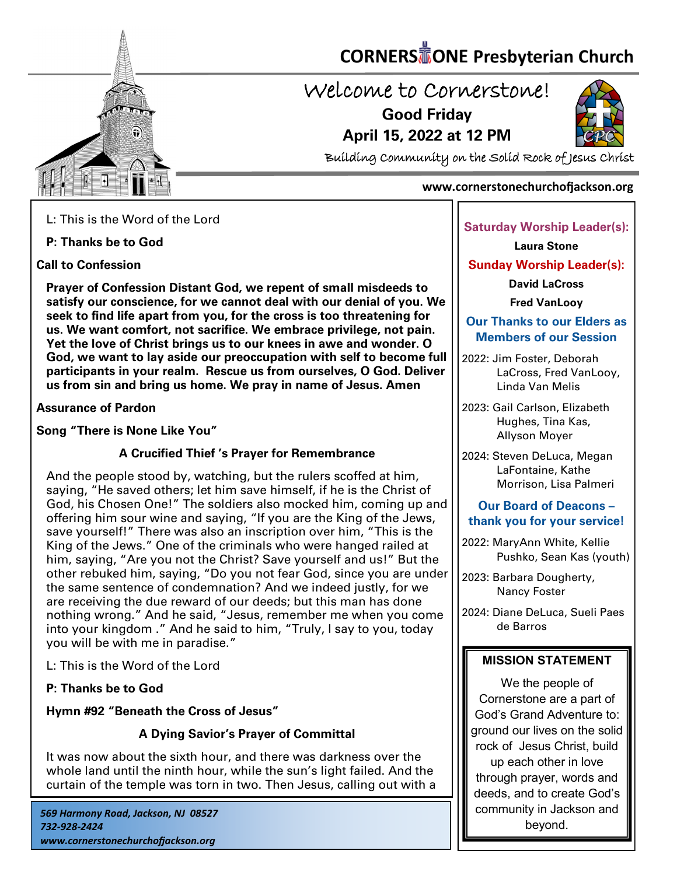

# **CORNERS** TONE Presbyterian Church

# Welcome to Cornerstone! **Good Friday**

**April 15, 2022 at 12 PM**



Building Community on the Solid Rock of Jesus Christ

#### **www.cornerstonechurchofjackson.org**

L: This is the Word of the Lord

**P: Thanks be to God**

**Call to Confession**

**Prayer of Confession Distant God, we repent of small misdeeds to satisfy our conscience, for we cannot deal with our denial of you. We seek to find life apart from you, for the cross is too threatening for us. We want comfort, not sacrifice. We embrace privilege, not pain. Yet the love of Christ brings us to our knees in awe and wonder. O God, we want to lay aside our preoccupation with self to become full participants in your realm. Rescue us from ourselves, O God. Deliver us from sin and bring us home. We pray in name of Jesus. Amen**

**Assurance of Pardon**

**Song "There is None Like You"**

# **A Crucified Thief 's Prayer for Remembrance**

And the people stood by, watching, but the rulers scoffed at him, saying, "He saved others; let him save himself, if he is the Christ of God, his Chosen One!" The soldiers also mocked him, coming up and offering him sour wine and saying, "If you are the King of the Jews, save yourself!" There was also an inscription over him, "This is the King of the Jews." One of the criminals who were hanged railed at him, saying, "Are you not the Christ? Save yourself and us!" But the other rebuked him, saying, "Do you not fear God, since you are under the same sentence of condemnation? And we indeed justly, for we are receiving the due reward of our deeds; but this man has done nothing wrong." And he said, "Jesus, remember me when you come into your kingdom ." And he said to him, "Truly, I say to you, today you will be with me in paradise."

L: This is the Word of the Lord

**P: Thanks be to God**

**Hymn #92 "Beneath the Cross of Jesus"** 

# **A Dying Savior's Prayer of Committal**

It was now about the sixth hour, and there was darkness over the whole land until the ninth hour, while the sun's light failed. And the curtain of the temple was torn in two. Then Jesus, calling out with a

#### **Saturday Worship Leader(s):**

**Laura Stone**

**Sunday Worship Leader(s):**

**David LaCross**

**Fred VanLooy**

### **Our Thanks to our Elders as Members of our Session**

- 2022: Jim Foster, Deborah LaCross, Fred VanLooy, Linda Van Melis
- 2023: Gail Carlson, Elizabeth Hughes, Tina Kas, Allyson Moyer
- 2024: Steven DeLuca, Megan LaFontaine, Kathe Morrison, Lisa Palmeri

# **Our Board of Deacons – thank you for your service!**

2022: MaryAnn White, Kellie Pushko, Sean Kas (youth)

2023: Barbara Dougherty, Nancy Foster

2024: Diane DeLuca, Sueli Paes de Barros

# **MISSION STATEMENT**

We the people of Cornerstone are a part of God's Grand Adventure to: ground our lives on the solid rock of Jesus Christ, build up each other in love through prayer, words and deeds, and to create God's community in Jackson and beyond.